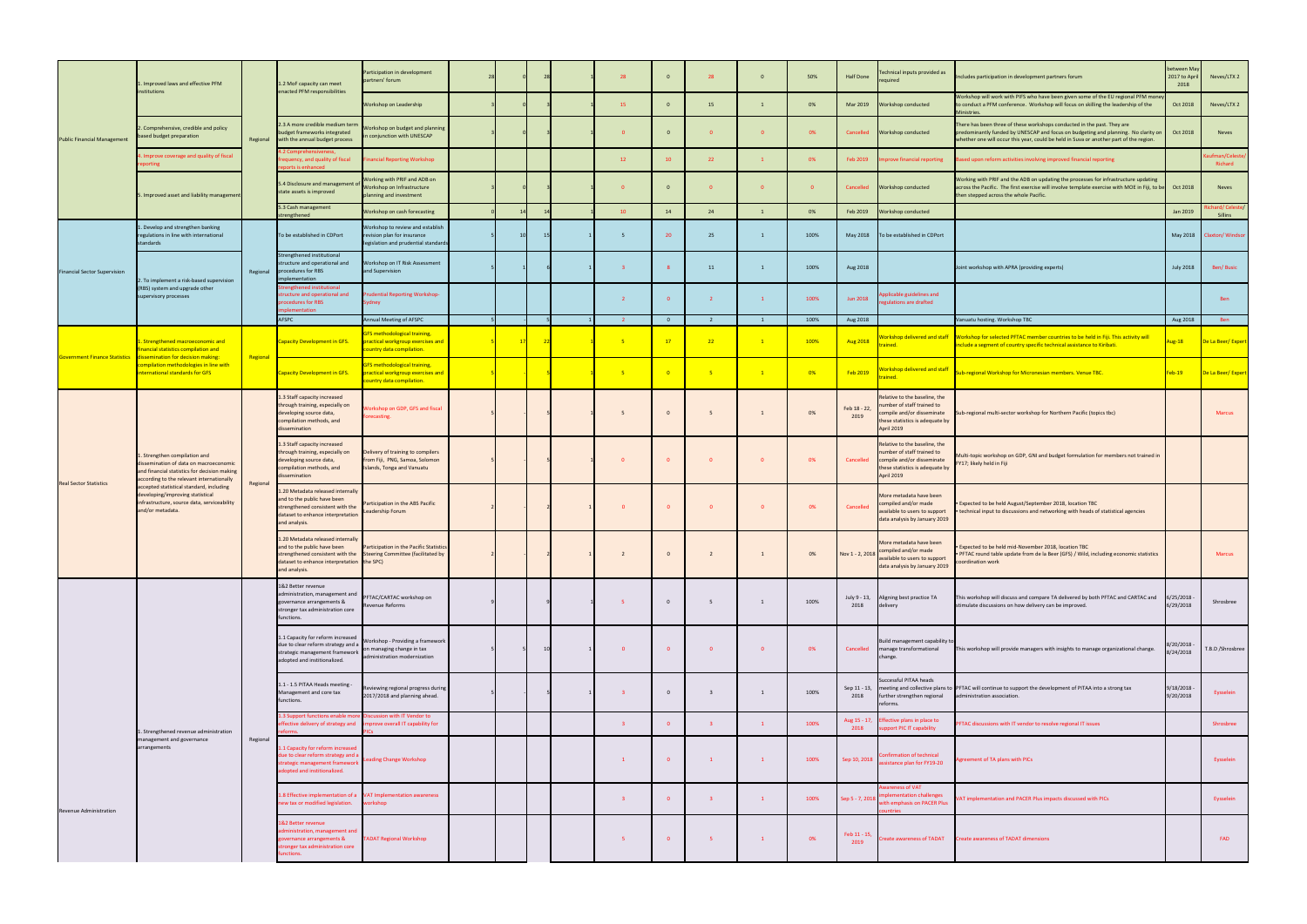| <b>Public Financial Management</b>   | . Improved laws and effective PFM                                                                                                                                                                                                                                                                                      |          | 1.2 MoF capacity can meet<br>enacted PFM responsibilities                                                                                                  | Participation in development<br>artners' forum                                                                 |    |  | 28                      | $\overline{0}$           | 28                      | $\Omega$                | 50%            | Half Done            | <b>Fechnical inputs provided as</b><br>equired                                                                                             | Includes participation in development partners forum                                                                                                                                                                                                    | etween May<br>2017 to Apri<br>2018 | Neves/LTX 2              |
|--------------------------------------|------------------------------------------------------------------------------------------------------------------------------------------------------------------------------------------------------------------------------------------------------------------------------------------------------------------------|----------|------------------------------------------------------------------------------------------------------------------------------------------------------------|----------------------------------------------------------------------------------------------------------------|----|--|-------------------------|--------------------------|-------------------------|-------------------------|----------------|----------------------|--------------------------------------------------------------------------------------------------------------------------------------------|---------------------------------------------------------------------------------------------------------------------------------------------------------------------------------------------------------------------------------------------------------|------------------------------------|--------------------------|
|                                      | institutions                                                                                                                                                                                                                                                                                                           |          |                                                                                                                                                            | Workshop on Leadership                                                                                         |    |  | 15                      | $\overline{0}$           | 15                      | $\overline{1}$          | 0%             | Mar 2019             | Workshop conducted                                                                                                                         | Workshop will work with PIFS who have been given some of the EU regional PFM mor<br>to conduct a PFM conference. Workshop will focus on skilling the leadership of the<br>Ministries.                                                                   | Oct 2018                           | Neves/LTX 2              |
|                                      | 2. Comprehensive, credible and policy<br>based budget preparation                                                                                                                                                                                                                                                      |          | 2.3 A more credible medium term<br>budget frameworks integrated<br>Regional with the annual budget process                                                 | Vorkshop on budget and planning<br>conjunction with UNESCAP                                                    |    |  |                         | $\overline{0}$           |                         | $\overline{0}$          | 0%             | Cancelled            | Workshop conducted                                                                                                                         | There has been three of these workshops conducted in the past. They are<br>predominantly funded by UNESCAP and focus on budgeting and planning. No clarity on<br>whether one will occur this year, could be held in Suva or another part of the region. | Oct 2018                           | Neves                    |
|                                      | Improve coverage and quality of fiscal                                                                                                                                                                                                                                                                                 |          | quency, and quality of fiscal<br>rts is enhance                                                                                                            | ancial Reporting Workshop                                                                                      |    |  | 12                      | 10                       | 22                      | $\mathbf{1}$            | 0%             | Feb 2019             | prove financial reporting                                                                                                                  | Based upon reform activities involving improved financial reporting                                                                                                                                                                                     |                                    | ufman/Celeste<br>Richard |
|                                      | 5. Improved asset and liability management                                                                                                                                                                                                                                                                             |          | 5.4 Disclosure and management of<br>state assets is improved                                                                                               | Vorking with PRIF and ADB on<br>Workshop on Infrastructure<br>anning and investment                            |    |  | $\Omega$                | $\overline{0}$           | $\Omega$                | $\Omega$                | $\overline{0}$ | Cancelled            | Workshop conducted                                                                                                                         | Working with PRIF and the ADB on updating the processes for infrastructure updating<br>across the Pacific. The first exercise will involve template exercise with MOE in Fiji, to be<br>then stepped across the whole Pacific.                          | Oct 2018                           | Neves                    |
|                                      |                                                                                                                                                                                                                                                                                                                        |          | 5.3 Cash management<br>rengthened                                                                                                                          | Vorkshop on cash forecasting                                                                                   |    |  | 10                      | 14                       | 24                      | $\overline{1}$          | 0%             | Feb 2019             | Workshop conducted                                                                                                                         |                                                                                                                                                                                                                                                         | Jan 2019                           | ard/ Celeste/<br>Sillins |
| <b>Financial Sector Supervision</b>  | . Develop and strengthen banking<br>regulations in line with international<br>standards                                                                                                                                                                                                                                |          | To be established in CDPort                                                                                                                                | Vorkshop to review and establish<br>vision plan for insurance<br>egislation and prudential standard            |    |  | -5                      | 20                       | 25                      | $\overline{1}$          | 100%           |                      | May 2018 To be established in CDPort                                                                                                       |                                                                                                                                                                                                                                                         | May 2018                           | laxton/ Windsor          |
|                                      | 2. To implement a risk-based supervision<br>(RBS) system and upgrade other<br>supervisory processes                                                                                                                                                                                                                    |          | strengthened institutional<br>ructure and operational and<br>Regional procedures for RBS<br>ementation                                                     | <b>Norkshop on IT Risk Assessment</b><br>and Supervision                                                       |    |  | $\overline{\mathbf{3}}$ | -8                       | 11                      | $\mathbf{1}$            | 100%           | Aug 2018             |                                                                                                                                            | loint workshop with APRA (providing experts)                                                                                                                                                                                                            | <b>July 2018</b>                   | Ben/Busic                |
|                                      |                                                                                                                                                                                                                                                                                                                        |          | engthened institutional<br>ructure and operational and<br>procedures for RBS<br><b>plementation</b>                                                        | <b>udential Reporting Workshop-</b><br>iydney                                                                  |    |  | $\overline{2}$          | $\overline{0}$           | $\overline{2}$          | $\mathbf{1}$            | 100%           | <b>Jun 2018</b>      | plicable guidelines and<br>gulations are drafted                                                                                           |                                                                                                                                                                                                                                                         |                                    | <b>Ben</b>               |
|                                      |                                                                                                                                                                                                                                                                                                                        |          | AFSPC                                                                                                                                                      | nnual Meeting of AFSPC                                                                                         |    |  | $\overline{2}$          | $\overline{\mathbf{0}}$  | <sup>2</sup>            | $\mathbf{1}$            | 100%           | Aug 2018             |                                                                                                                                            | /anuatu hosting. Workshop TBC                                                                                                                                                                                                                           | Aug 2018                           | Ben                      |
| <b>Government Finance Statistics</b> | . Strengthened macroeconomic and<br>nancial statistics compilation and<br>dissemination for decision making:<br>ompilation methodologies in line with<br><b>International standards for GFS</b>                                                                                                                        | Regional | <b>Capacity Development in GFS.</b>                                                                                                                        | <b>FS methodological training,</b><br>ractical workgroup exercises and<br>ountry data compilation.             | 17 |  | $-5$                    | 17                       | 22                      | $\boxed{1}$             | 100%           | <b>Aug 2018</b>      | Vorkshop delivered and staff<br>ained.                                                                                                     | Workshop for selected PFTAC member countries to be held in Fiji. This activity will<br>nclude a segment of country specific technical assistance to Kiribati.                                                                                           | Lug-18                             | De La Beer/Expert        |
|                                      |                                                                                                                                                                                                                                                                                                                        |          | <b>Capacity Development in GFS.</b>                                                                                                                        | <b>FS methodological training,</b><br>ractical workgroup exercises and<br>ountry data compilation.             |    |  | -5                      | $\overline{\phantom{0}}$ | $-5$                    | $\overline{1}$          | 0%             | Feb 2019             | orkshop delivered and staff<br>ained.                                                                                                      | ub-regional Workshop for Micronesian members. Venue TBC.                                                                                                                                                                                                | eb-19                              | De La Beer/Expert        |
| <b>Real Sector Statistics</b>        | . Strengthen compilation and<br>dissemination of data on macroeconomic<br>and financial statistics for decision making<br>according to the relevant internationally<br>accepted statistical standard, including<br>developing/improving statistical<br>infrastructure, source data, serviceability<br>and/or metadata. | Regional | 1.3 Staff capacity increased<br>through training, especially on<br>developing source data,<br>compilation methods, and<br>dissemination                    | rkshop on GDP, GFS and fiscal<br>ecasting.                                                                     |    |  |                         | $\mathbf{0}$             | -5                      | $\overline{1}$          | 0%             | Feb 18 - 22,<br>2019 | Relative to the baseline, the<br>number of staff trained to<br>compile and/or disseminate<br>these statistics is adequate by<br>April 2019 | iub-regional multi-sector workshop for Northern Pacific (topics tbc)                                                                                                                                                                                    |                                    | <b>Marcus</b>            |
|                                      |                                                                                                                                                                                                                                                                                                                        |          | 1.3 Staff capacity increased<br>through training, especially on<br>developing source data,<br>compilation methods, and<br><b>issemination</b>              | elivery of training to compilers<br>om Fiji, PNG, Samoa, Solomon<br>slands, Tonga and Vanuatu                  |    |  |                         | $\overline{0}$           |                         |                         | 0%             | Cancelled            | Relative to the baseline, the<br>number of staff trained to<br>compile and/or disseminate<br>these statistics is adequate by<br>April 2019 | Multi-topic workshop on GDP, GNI and budget formulation for members not trained in<br>Y17; likely held in Fiji                                                                                                                                          |                                    |                          |
|                                      |                                                                                                                                                                                                                                                                                                                        |          | 1.20 Metadata released internally<br>and to the public have been<br>strengthened consistent with the<br>dataset to enhance interpretation<br>and analysis. | articipation in the ABS Pacific<br>eadership Forum                                                             |    |  |                         | $\mathbf{0}$             |                         |                         | 0%             | Cancelled            | More metadata have been<br>ompiled and/or made<br>available to users to support<br>data analysis by January 2019                           | Expected to be held August/September 2018, location TBC<br>technical input to discussions and networking with heads of statistical agencies                                                                                                             |                                    |                          |
|                                      |                                                                                                                                                                                                                                                                                                                        |          | 1.20 Metadata released internally<br>and to the public have been<br>dataset to enhance interpretation the SPC)<br>and analysis.                            | Participation in the Pacific Statistics<br>strengthened consistent with the Steering Committee (facilitated by |    |  | $\overline{2}$          | $\mathbf{0}$             | $\overline{2}$          | 1                       | 0%             |                      | More metadata have been<br>Nov 1 - 2, 2018 compiled and/or made<br>available to users to support<br>data analysis by January 2019          | Expected to be held mid-November 2018, location TBC<br>. PFTAC round table update from de la Beer (GFS) / Wild, including economic statistics<br>coordination work                                                                                      |                                    | <b>Marcus</b>            |
|                                      |                                                                                                                                                                                                                                                                                                                        | Regional | 1&2 Better revenue<br>administration, management and<br>governance arrangements &<br>stronger tax administration core<br>functions.                        | FTAC/CARTAC workshop on<br>evenue Reforms                                                                      |    |  | 5                       | $\overline{0}$           | - 5                     | $\mathbf{1}$            | 100%           | 2018                 | July 9 - 13, Aligning best practice TA<br>delivery                                                                                         | This workshop will discuss and compare TA delivered by both PFTAC and CARTAC and 6/25/2018<br>stimulate discussions on how delivery can be improved.                                                                                                    | 6/29/2018                          | Shrosbree                |
|                                      |                                                                                                                                                                                                                                                                                                                        |          | 1.1 Capacity for reform increased<br>due to clear reform strategy and a<br>strategic management framework<br>adopted and institionalized.                  | Workshop - Providing a framework<br>on managing change in tax<br>dministration modernization                   |    |  | $\overline{0}$          | $\overline{\mathbf{0}}$  | $\overline{0}$          | $\overline{\mathbf{0}}$ | 0%             |                      | Build management capability to<br>Cancelled manage transformational<br>change.                                                             | This workshop will provide managers with insights to manage organizational change.                                                                                                                                                                      | :/20/2018/<br>3/24/2018            | T.B.D /Shrosbree         |
|                                      |                                                                                                                                                                                                                                                                                                                        |          | 1.1 - 1.5 PITAA Heads meeting -<br>Management and core tax<br>functions.                                                                                   | eviewing regional progress during<br>2017/2018 and planning ahead.                                             |    |  | $\overline{\mathbf{3}}$ | $\overline{0}$           | $\overline{\mathbf{3}}$ | 1                       | 100%           | 2018                 | Successful PITAA heads<br>further strengthen regional<br>reforms.                                                                          | Sep 11 - 13, meeting and collective plans to PFTAC will continue to support the development of PITAA into a strong tax<br>administration association.                                                                                                   | 9/18/2018<br>9/20/2018             | Eysselein                |
|                                      | 1. Strengthened revenue administration                                                                                                                                                                                                                                                                                 |          | 1.3 Support functions enable mor<br>fective delivery of strategy and                                                                                       | cussion with IT Vendor to<br>mprove overall IT capability for                                                  |    |  | $\overline{\mathbf{3}}$ | $\overline{\mathbf{0}}$  | 3 <sup>1</sup>          | $\mathbf{1}$            | 100%           | Aug 15 - 17,<br>2018 | Effective plans in place to<br>upport PIC IT capability                                                                                    | PFTAC discussions with IT vendor to resolve regional IT issues                                                                                                                                                                                          |                                    | Shrosbree                |
| Revenue Administration               | management and governance<br>arrangements                                                                                                                                                                                                                                                                              |          | 1 Capacity for reform increased<br>due to clear reform strategy and a<br>strategic management framework<br>adopted and institionalized.                    | ading Change Workshop                                                                                          |    |  | $\mathbf{1}$            | $\overline{\mathbf{0}}$  | $\mathbf{1}$            | $\mathbf{1}$            | 100%           | Sep 10, 2018         | onfirmation of technical<br>ssistance plan for FY19-20                                                                                     | Agreement of TA plans with PICs                                                                                                                                                                                                                         |                                    | Eysselein                |
|                                      |                                                                                                                                                                                                                                                                                                                        |          | 1.8 Effective implementation of a VAT Implementation awareness<br>new tax or modified legislation.                                                         | vorkshop                                                                                                       |    |  | $\overline{\mathbf{3}}$ | $\overline{\mathbf{0}}$  | 3 <sup>1</sup>          | $\mathbf{1}$            | 100%           | Sep 5 - 7, 2018      | areness of VAT<br>lementation challenges<br>vith emphasis on PACER Plus<br><b>intries</b>                                                  | VAT implementation and PACER Plus impacts discussed with PICs                                                                                                                                                                                           |                                    | Eysselein                |
|                                      |                                                                                                                                                                                                                                                                                                                        |          | 1&2 Better revenue<br>ministration, management and<br>overnance arrangements &<br>ronger tax administration core<br>nctions.                               | <b>ADAT Regional Workshop</b>                                                                                  |    |  | -5                      | $\overline{0}$           | - 5                     | $\mathbf{1}$            | 0%             | Feb 11 - 15,<br>2019 | reate awareness of TADAT                                                                                                                   | <b>Create awareness of TADAT dimensions</b>                                                                                                                                                                                                             |                                    | FAD                      |
|                                      |                                                                                                                                                                                                                                                                                                                        |          |                                                                                                                                                            |                                                                                                                |    |  |                         |                          |                         |                         |                |                      |                                                                                                                                            |                                                                                                                                                                                                                                                         |                                    |                          |